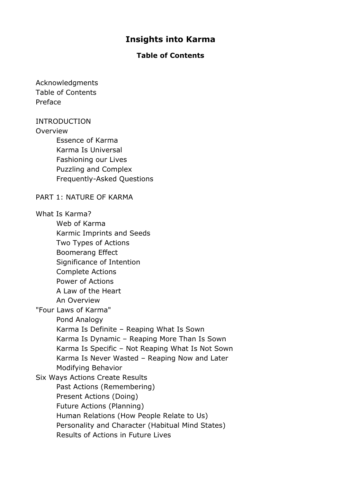# **Insights into Karma**

## **Table of Contents**

Acknowledgments Table of Contents Preface

### INTRODUCTION

### **Overview**

Essence of Karma Karma Is Universal Fashioning our Lives Puzzling and Complex Frequently-Asked Questions

### PART 1: NATURE OF KARMA

#### What Is Karma?

Web of Karma Karmic Imprints and Seeds Two Types of Actions Boomerang Effect Significance of Intention Complete Actions Power of Actions A Law of the Heart An Overview "Four Laws of Karma" Pond Analogy Karma Is Definite – Reaping What Is Sown Karma Is Dynamic – Reaping More Than Is Sown Karma Is Specific – Not Reaping What Is Not Sown Karma Is Never Wasted – Reaping Now and Later Modifying Behavior Six Ways Actions Create Results Past Actions (Remembering) Present Actions (Doing) Future Actions (Planning) Human Relations (How People Relate to Us) Personality and Character (Habitual Mind States) Results of Actions in Future Lives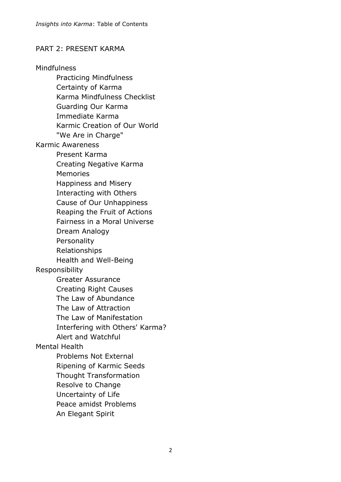## PART 2: PRESENT KARMA

Mindfulness Practicing Mindfulness Certainty of Karma Karma Mindfulness Checklist Guarding Our Karma Immediate Karma Karmic Creation of Our World "We Are in Charge" Karmic Awareness Present Karma Creating Negative Karma Memories Happiness and Misery Interacting with Others Cause of Our Unhappiness Reaping the Fruit of Actions Fairness in a Moral Universe Dream Analogy Personality Relationships Health and Well-Being Responsibility Greater Assurance Creating Right Causes The Law of Abundance The Law of Attraction The Law of Manifestation Interfering with Others' Karma? Alert and Watchful Mental Health Problems Not External Ripening of Karmic Seeds Thought Transformation Resolve to Change Uncertainty of Life Peace amidst Problems An Elegant Spirit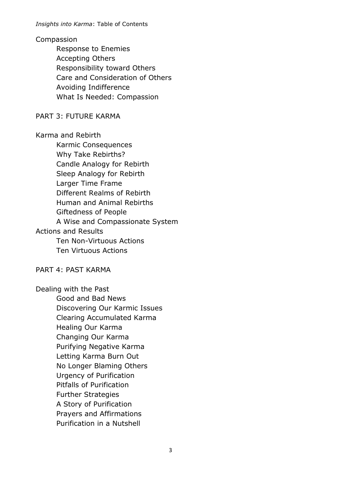### Compassion

Response to Enemies Accepting Others Responsibility toward Others Care and Consideration of Others Avoiding Indifference What Is Needed: Compassion

## PART 3: FUTURE KARMA

Karma and Rebirth

Karmic Consequences Why Take Rebirths? Candle Analogy for Rebirth Sleep Analogy for Rebirth Larger Time Frame Different Realms of Rebirth Human and Animal Rebirths Giftedness of People A Wise and Compassionate System Actions and Results Ten Non-Virtuous Actions Ten Virtuous Actions

PART 4: PAST KARMA

Dealing with the Past Good and Bad News Discovering Our Karmic Issues Clearing Accumulated Karma Healing Our Karma Changing Our Karma Purifying Negative Karma Letting Karma Burn Out No Longer Blaming Others Urgency of Purification Pitfalls of Purification Further Strategies A Story of Purification Prayers and Affirmations Purification in a Nutshell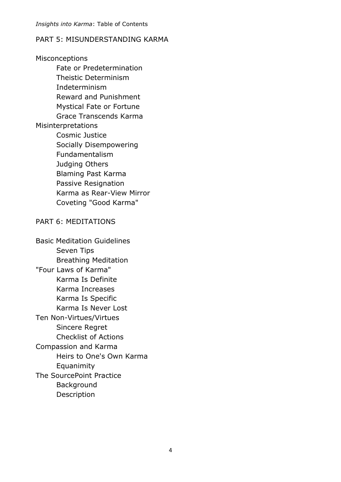## PART 5: MISUNDERSTANDING KARMA

Misconceptions Fate or Predetermination Theistic Determinism Indeterminism Reward and Punishment Mystical Fate or Fortune Grace Transcends Karma Misinterpretations Cosmic Justice Socially Disempowering Fundamentalism Judging Others Blaming Past Karma Passive Resignation Karma as Rear-View Mirror Coveting "Good Karma" PART 6: MEDITATIONS Basic Meditation Guidelines Seven Tips Breathing Meditation "Four Laws of Karma" Karma Is Definite Karma Increases Karma Is Specific Karma Is Never Lost Ten Non-Virtues/Virtues Sincere Regret Checklist of Actions

Compassion and Karma Heirs to One's Own Karma Equanimity The SourcePoint Practice Background Description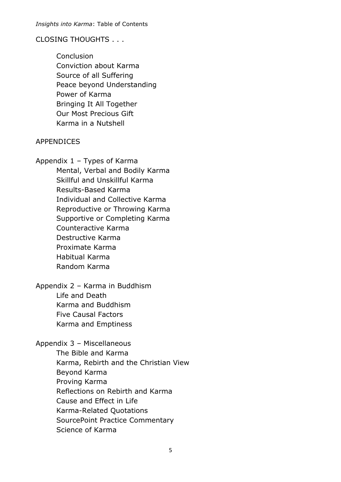## CLOSING THOUGHTS . . .

**Conclusion** Conviction about Karma Source of all Suffering Peace beyond Understanding Power of Karma Bringing It All Together Our Most Precious Gift Karma in a Nutshell

# APPENDICES

Appendix 1 – Types of Karma Mental, Verbal and Bodily Karma Skillful and Unskillful Karma Results-Based Karma Individual and Collective Karma Reproductive or Throwing Karma Supportive or Completing Karma Counteractive Karma Destructive Karma Proximate Karma Habitual Karma Random Karma

Appendix 2 – Karma in Buddhism Life and Death Karma and Buddhism Five Causal Factors Karma and Emptiness

# Appendix 3 – Miscellaneous

The Bible and Karma Karma, Rebirth and the Christian View Beyond Karma Proving Karma Reflections on Rebirth and Karma Cause and Effect in Life Karma-Related Quotations SourcePoint Practice Commentary Science of Karma